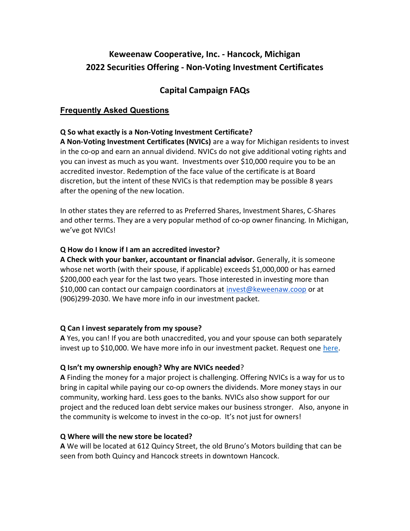# Keweenaw Cooperative, Inc. - Hancock, Michigan 2022 Securities Offering - Non-Voting Investment Certificates

## Capital Campaign FAQs

## Frequently Asked Questions

#### Q So what exactly is a Non-Voting Investment Certificate?

A Non-Voting Investment Certificates (NVICs) are a way for Michigan residents to invest in the co-op and earn an annual dividend. NVICs do not give additional voting rights and you can invest as much as you want. Investments over \$10,000 require you to be an accredited investor. Redemption of the face value of the certificate is at Board discretion, but the intent of these NVICs is that redemption may be possible 8 years after the opening of the new location.

In other states they are referred to as Preferred Shares, Investment Shares, C-Shares and other terms. They are a very popular method of co-op owner financing. In Michigan, we've got NVICs!

#### Q How do I know if I am an accredited investor?

A Check with your banker, accountant or financial advisor. Generally, it is someone whose net worth (with their spouse, if applicable) exceeds \$1,000,000 or has earned \$200,000 each year for the last two years. Those interested in investing more than \$10,000 can contact our campaign coordinators at invest@keweenaw.coop or at (906)299-2030. We have more info in our investment packet.

#### Q Can I invest separately from my spouse?

A Yes, you can! If you are both unaccredited, you and your spouse can both separately invest up to \$10,000. We have more info in our investment packet. Request one here.

#### Q Isn't my ownership enough? Why are NVICs needed?

A Finding the money for a major project is challenging. Offering NVICs is a way for us to bring in capital while paying our co-op owners the dividends. More money stays in our community, working hard. Less goes to the banks. NVICs also show support for our project and the reduced loan debt service makes our business stronger. Also, anyone in the community is welcome to invest in the co-op. It's not just for owners!

#### Q Where will the new store be located?

A We will be located at 612 Quincy Street, the old Bruno's Motors building that can be seen from both Quincy and Hancock streets in downtown Hancock.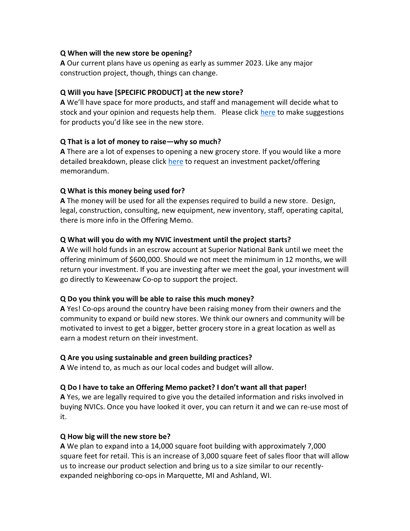#### Q When will the new store be opening?

A Our current plans have us opening as early as summer 2023. Like any major construction project, though, things can change.

#### Q Will you have [SPECIFIC PRODUCT] at the new store?

A We'll have space for more products, and staff and management will decide what to stock and your opinion and requests help them. Please click here to make suggestions for products you'd like see in the new store.

#### Q That is a lot of money to raise—why so much?

A There are a lot of expenses to opening a new grocery store. If you would like a more detailed breakdown, please click here to request an investment packet/offering memorandum.

#### Q What is this money being used for?

A The money will be used for all the expenses required to build a new store. Design, legal, construction, consulting, new equipment, new inventory, staff, operating capital, there is more info in the Offering Memo.

#### Q What will you do with my NVIC investment until the project starts?

A We will hold funds in an escrow account at Superior National Bank until we meet the offering minimum of \$600,000. Should we not meet the minimum in 12 months, we will return your investment. If you are investing after we meet the goal, your investment will go directly to Keweenaw Co-op to support the project.

#### Q Do you think you will be able to raise this much money?

A Yes! Co-ops around the country have been raising money from their owners and the community to expand or build new stores. We think our owners and community will be motivated to invest to get a bigger, better grocery store in a great location as well as earn a modest return on their investment.

## Q Are you using sustainable and green building practices?

A We intend to, as much as our local codes and budget will allow.

## Q Do I have to take an Offering Memo packet? I don't want all that paper!

A Yes, we are legally required to give you the detailed information and risks involved in buying NVICs. Once you have looked it over, you can return it and we can re-use most of it.

#### Q How big will the new store be?

A We plan to expand into a 14,000 square foot building with approximately 7,000 square feet for retail. This is an increase of 3,000 square feet of sales floor that will allow us to increase our product selection and bring us to a size similar to our recentlyexpanded neighboring co-ops in Marquette, MI and Ashland, WI.